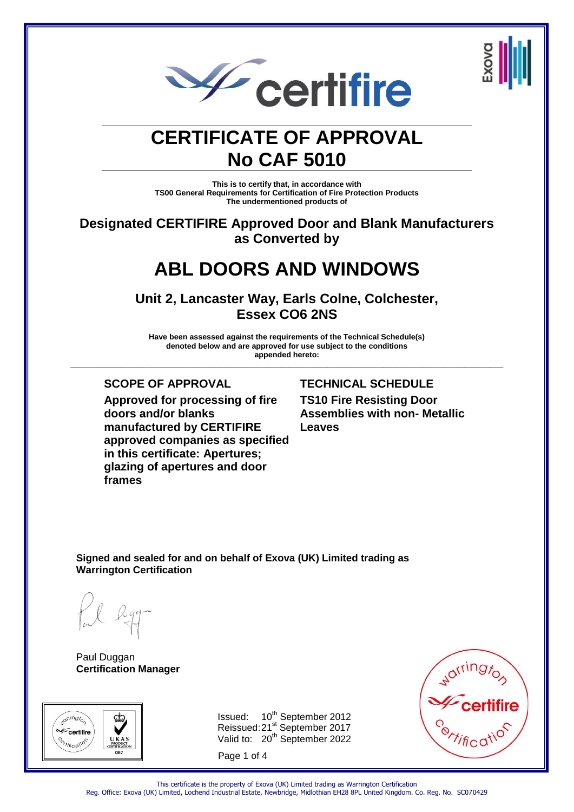



### **CERTIFICATE OF APPROVAL No CAF 5010**

**This is to certify that, in accordance with TS00 General Requirements for Certification of Fire Protection Products The undermentioned products of** 

**Designated CERTIFIRE Approved Door and Blank Manufacturers as Converted by** 

### **ABL DOORS AND WINDOWS**

**Unit 2, Lancaster Way, Earls Colne, Colchester, Essex CO6 2NS** 

**Have been assessed against the requirements of the Technical Schedule(s) denoted below and are approved for use subject to the conditions appended hereto: \_\_\_\_\_\_\_\_\_\_\_\_\_\_\_\_\_\_\_\_\_\_\_\_\_\_\_\_\_\_\_\_\_\_\_\_\_\_\_\_\_\_\_\_\_\_\_\_\_\_\_\_\_\_\_\_\_\_\_\_\_\_\_\_\_\_\_\_\_\_\_\_\_\_\_\_\_\_\_\_\_\_\_\_\_\_\_\_\_\_\_\_\_\_\_\_\_\_\_\_\_**

**Approved for processing of fire doors and/or blanks manufactured by CERTIFIRE approved companies as specified in this certificate: Apertures; glazing of apertures and door frames**

### **SCOPE OF APPROVAL TECHNICAL SCHEDULE**

**TS10 Fire Resisting Door Assemblies with non- Metallic Leaves**

**Signed and sealed for and on behalf of Exova (UK) Limited trading as Warrington Certification**

Paul Duggan **Certification Manager**



Issued: 10<sup>th</sup> September 2012 Reissued: 21<sup>st</sup> September 2017 Valid to: 20<sup>th</sup> September 2022

Page 1 of 4



This certificate is the property of Exova (UK) Limited trading as Warrington Certification Reg. Office: Exova (UK) Limited, Lochend Industrial Estate, Newbridge, Midlothian EH28 8PL United Kingdom. Co. Reg. No. SC070429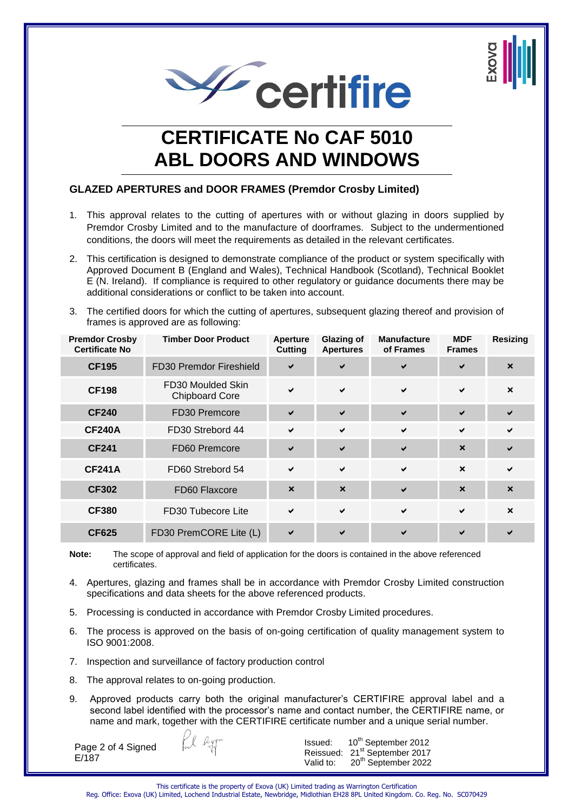



# **CERTIFICATE No CAF 5010 ABL DOORS AND WINDOWS**

#### **GLAZED APERTURES and DOOR FRAMES (Premdor Crosby Limited)**

- 1. This approval relates to the cutting of apertures with or without glazing in doors supplied by Premdor Crosby Limited and to the manufacture of doorframes. Subject to the undermentioned conditions, the doors will meet the requirements as detailed in the relevant certificates.
- 2. This certification is designed to demonstrate compliance of the product or system specifically with Approved Document B (England and Wales), Technical Handbook (Scotland), Technical Booklet E (N. Ireland). If compliance is required to other regulatory or guidance documents there may be additional considerations or conflict to be taken into account.
- 3. The certified doors for which the cutting of apertures, subsequent glazing thereof and provision of frames is approved are as following:

| <b>Premdor Crosby</b><br><b>Certificate No</b> | <b>Timber Door Product</b>                 | <b>Aperture</b><br><b>Cutting</b> | Glazing of<br><b>Apertures</b> | <b>Manufacture</b><br>of Frames | <b>MDF</b><br><b>Frames</b> | <b>Resizing</b>           |
|------------------------------------------------|--------------------------------------------|-----------------------------------|--------------------------------|---------------------------------|-----------------------------|---------------------------|
| <b>CF195</b>                                   | FD30 Premdor Fireshield                    | ✔                                 | ✔                              |                                 | ✔                           | $\boldsymbol{\mathsf{x}}$ |
| <b>CF198</b>                                   | FD30 Moulded Skin<br><b>Chipboard Core</b> | ✔                                 | ✔                              | $\checkmark$                    | $\checkmark$                | $\boldsymbol{\mathsf{x}}$ |
| <b>CF240</b>                                   | FD30 Premcore                              | $\checkmark$                      | ✔                              | $\checkmark$                    | ✔                           | $\checkmark$              |
| <b>CF240A</b>                                  | FD30 Strebord 44                           | $\checkmark$                      | $\checkmark$                   | $\checkmark$                    | $\checkmark$                | $\checkmark$              |
| <b>CF241</b>                                   | FD60 Premcore                              | $\checkmark$                      | ✔                              | ✔                               | $\boldsymbol{\mathsf{x}}$   | ✔                         |
| <b>CF241A</b>                                  | FD60 Strebord 54                           | $\checkmark$                      | $\checkmark$                   | $\checkmark$                    | $\boldsymbol{\mathsf{x}}$   | $\checkmark$              |
| <b>CF302</b>                                   | FD60 Flaxcore                              | $\boldsymbol{\mathsf{x}}$         | $\boldsymbol{\mathsf{x}}$      | ✔                               | $\boldsymbol{\mathsf{x}}$   | $\boldsymbol{\mathsf{x}}$ |
| <b>CF380</b>                                   | FD30 Tubecore Lite                         | $\checkmark$                      | $\checkmark$                   | $\checkmark$                    | $\checkmark$                | $\boldsymbol{\mathsf{x}}$ |
| <b>CF625</b>                                   | FD30 PremCORE Lite (L)                     | ✔                                 | ✔                              | ✔                               | ✔                           | ✔                         |

**Note:** The scope of approval and field of application for the doors is contained in the above referenced certificates.

4. Apertures, glazing and frames shall be in accordance with Premdor Crosby Limited construction specifications and data sheets for the above referenced products.

- 5. Processing is conducted in accordance with Premdor Crosby Limited procedures.
- 6. The process is approved on the basis of on-going certification of quality management system to ISO 9001:2008.
- 7. Inspection and surveillance of factory production control
- 8. The approval relates to on-going production.
- 9. Approved products carry both the original manufacturer's CERTIFIRE approval label and a second label identified with the processor's name and contact number, the CERTIFIRE name, or name and mark, together with the CERTIFIRE certificate number and a unique serial number.

Page 2 of 4 Signed E/187

Issued: 10<sup>th</sup> September 2012 Reissued: 21<sup>st</sup> September 2017 Valid to: 20<sup>th</sup> September 2022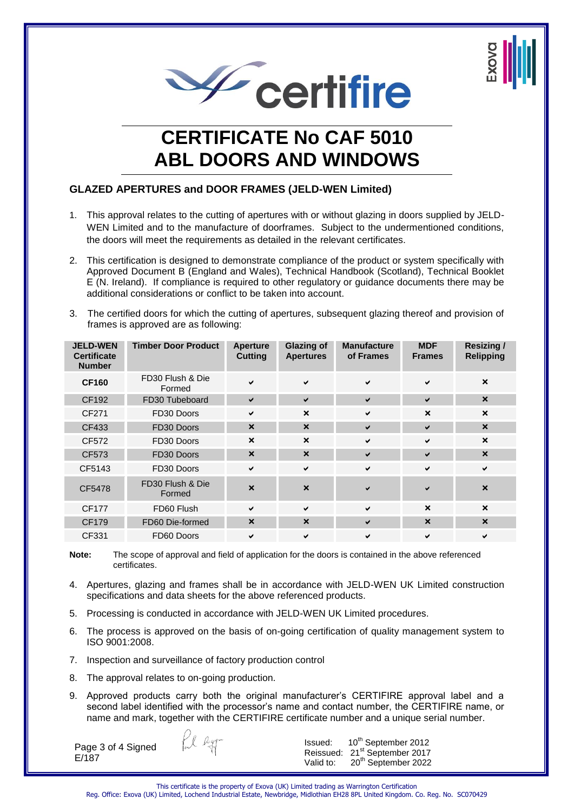



# **CERTIFICATE No CAF 5010 ABL DOORS AND WINDOWS**

#### **GLAZED APERTURES and DOOR FRAMES (JELD-WEN Limited)**

- 1. This approval relates to the cutting of apertures with or without glazing in doors supplied by JELD-WEN Limited and to the manufacture of doorframes. Subject to the undermentioned conditions, the doors will meet the requirements as detailed in the relevant certificates.
- 2. This certification is designed to demonstrate compliance of the product or system specifically with Approved Document B (England and Wales), Technical Handbook (Scotland), Technical Booklet E (N. Ireland). If compliance is required to other regulatory or guidance documents there may be additional considerations or conflict to be taken into account.
- 3. The certified doors for which the cutting of apertures, subsequent glazing thereof and provision of frames is approved are as following:

| <b>JELD-WEN</b><br><b>Certificate</b><br><b>Number</b> | <b>Timber Door Product</b> | Aperture<br><b>Cutting</b> | <b>Glazing of</b><br><b>Apertures</b> | <b>Manufacture</b><br>of Frames | <b>MDF</b><br><b>Frames</b> | <b>Resizing/</b><br><b>Relipping</b> |
|--------------------------------------------------------|----------------------------|----------------------------|---------------------------------------|---------------------------------|-----------------------------|--------------------------------------|
| <b>CF160</b>                                           | FD30 Flush & Die<br>Formed | $\checkmark$               | $\checkmark$                          | $\checkmark$                    | ✔                           | $\boldsymbol{\mathsf{x}}$            |
| CF192                                                  | FD30 Tubeboard             | $\checkmark$               | $\checkmark$                          | $\checkmark$                    | $\checkmark$                | $\boldsymbol{\mathsf{x}}$            |
| CF271                                                  | FD30 Doors                 | $\checkmark$               | $\boldsymbol{\mathsf{x}}$             | $\checkmark$                    | $\boldsymbol{\mathsf{x}}$   | $\boldsymbol{\mathsf{x}}$            |
| CF433                                                  | FD30 Doors                 | $\boldsymbol{\mathsf{x}}$  | $\boldsymbol{\mathsf{x}}$             | $\checkmark$                    | $\checkmark$                | $\boldsymbol{\mathsf{x}}$            |
| CF572                                                  | FD30 Doors                 | $\boldsymbol{\mathsf{x}}$  | $\boldsymbol{\mathsf{x}}$             | $\checkmark$                    | $\checkmark$                | $\boldsymbol{\mathsf{x}}$            |
| CF573                                                  | FD30 Doors                 | $\boldsymbol{\mathsf{x}}$  | $\boldsymbol{\mathsf{x}}$             | $\checkmark$                    | $\checkmark$                | $\boldsymbol{\mathsf{x}}$            |
| CF5143                                                 | FD30 Doors                 | $\checkmark$               | $\checkmark$                          | $\checkmark$                    | $\checkmark$                | ✓                                    |
| CF5478                                                 | FD30 Flush & Die<br>Formed | $\mathbf x$                | $\boldsymbol{\mathsf{x}}$             | ✔                               | ✔                           | $\boldsymbol{\mathsf{x}}$            |
| <b>CF177</b>                                           | FD60 Flush                 | ✔                          | ✓                                     | $\checkmark$                    | $\boldsymbol{\mathsf{x}}$   | $\boldsymbol{\mathsf{x}}$            |
| <b>CF179</b>                                           | FD60 Die-formed            | $\boldsymbol{\mathsf{x}}$  | $\boldsymbol{\mathsf{x}}$             | $\checkmark$                    | $\boldsymbol{\mathsf{x}}$   | $\boldsymbol{\mathsf{x}}$            |
| CF331                                                  | FD60 Doors                 | ✔                          | $\checkmark$                          | $\checkmark$                    | ✔                           | $\checkmark$                         |

**Note:** The scope of approval and field of application for the doors is contained in the above referenced certificates.

- 4. Apertures, glazing and frames shall be in accordance with JELD-WEN UK Limited construction specifications and data sheets for the above referenced products.
- 5. Processing is conducted in accordance with JELD-WEN UK Limited procedures.
- 6. The process is approved on the basis of on-going certification of quality management system to ISO 9001:2008.
- 7. Inspection and surveillance of factory production control
- 8. The approval relates to on-going production.
- 9. Approved products carry both the original manufacturer's CERTIFIRE approval label and a second label identified with the processor's name and contact number, the CERTIFIRE name, or name and mark, together with the CERTIFIRE certificate number and a unique serial number.

Page 3 of 4 Signed E/187

Issued: 10<sup>th</sup> September 2012 Reissued: 21<sup>st</sup> September 2017 Valid to: 20<sup>th</sup> September 2022